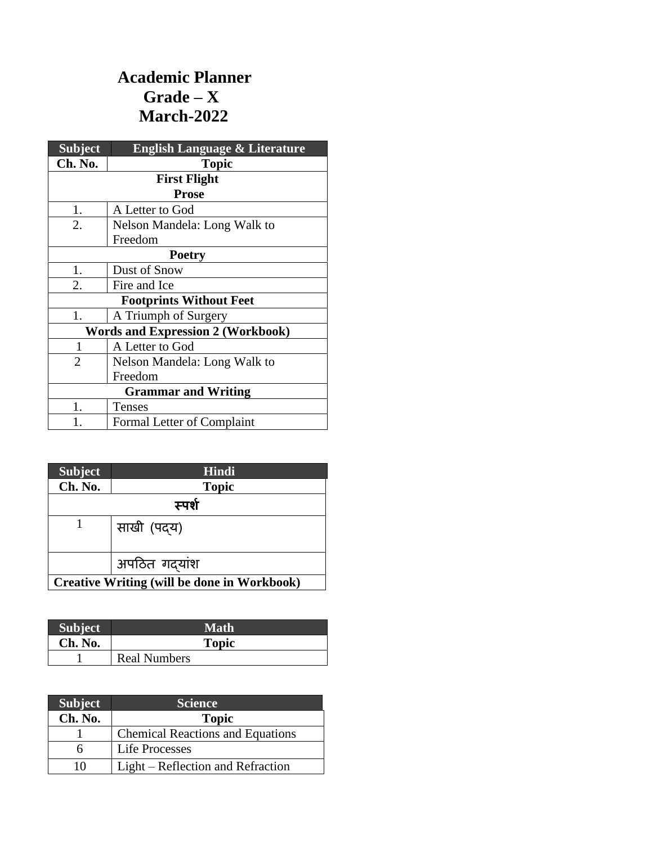## **Academic Planner Grade – X March-2022**

| <b>Subject</b>                           | <b>English Language &amp; Literature</b> |
|------------------------------------------|------------------------------------------|
| Ch. No.                                  | <b>Topic</b>                             |
|                                          | <b>First Flight</b>                      |
|                                          | <b>Prose</b>                             |
| 1.                                       | A Letter to God                          |
| 2.                                       | Nelson Mandela: Long Walk to             |
|                                          | Freedom                                  |
| <b>Poetry</b>                            |                                          |
| 1.                                       | Dust of Snow                             |
| 2.                                       | Fire and Ice                             |
| <b>Footprints Without Feet</b>           |                                          |
| 1.                                       | A Triumph of Surgery                     |
| <b>Words and Expression 2 (Workbook)</b> |                                          |
| 1                                        | A Letter to God                          |
| $\overline{2}$                           | Nelson Mandela: Long Walk to             |
|                                          | Freedom                                  |
| <b>Grammar and Writing</b>               |                                          |
| 1.                                       | Tenses                                   |
|                                          | Formal Letter of Complaint               |

| <b>Subject</b>                                     | <b>Hindi</b> |
|----------------------------------------------------|--------------|
| Ch. No.                                            | <b>Topic</b> |
| स्पर्श                                             |              |
|                                                    | साखी (पद्य)  |
|                                                    | अपठित गदयांश |
| <b>Creative Writing (will be done in Workbook)</b> |              |

| <b>Subject</b> | Math                |
|----------------|---------------------|
| Ch. No.        | <b>Topic</b>        |
|                | <b>Real Numbers</b> |

| <b>Subject</b> | <b>Science</b>                          |
|----------------|-----------------------------------------|
| Ch. No.        | <b>Topic</b>                            |
|                | <b>Chemical Reactions and Equations</b> |
| h              | <b>Life Processes</b>                   |
| 10             | Light – Reflection and Refraction       |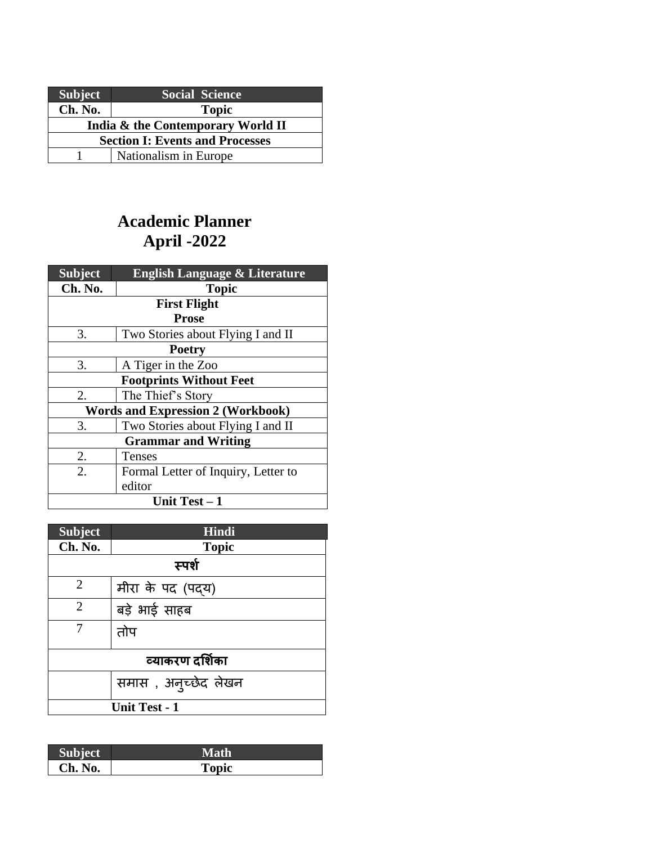| <b>Subject</b>                         | <b>Social Science</b> |
|----------------------------------------|-----------------------|
| Ch. No.                                | <b>Topic</b>          |
| India & the Contemporary World II      |                       |
| <b>Section I: Events and Processes</b> |                       |
|                                        | Nationalism in Europe |

# **Academic Planner April -2022**

| <b>Subject</b>                           | <b>English Language &amp; Literature</b> |  |
|------------------------------------------|------------------------------------------|--|
| Ch. No.                                  | <b>Topic</b>                             |  |
| <b>First Flight</b>                      |                                          |  |
|                                          | <b>Prose</b>                             |  |
| 3.                                       | Two Stories about Flying I and II        |  |
| <b>Poetry</b>                            |                                          |  |
| 3.                                       | A Tiger in the Zoo                       |  |
| <b>Footprints Without Feet</b>           |                                          |  |
| 2.                                       | The Thief's Story                        |  |
| <b>Words and Expression 2 (Workbook)</b> |                                          |  |
| 3.                                       | Two Stories about Flying I and II        |  |
| <b>Grammar and Writing</b>               |                                          |  |
| 2.                                       | Tenses                                   |  |
| $\overline{2}$ .                         | Formal Letter of Inquiry, Letter to      |  |
|                                          | editor                                   |  |
| Unit Test $-1$                           |                                          |  |

| <b>Subject</b>       | Hindi                |
|----------------------|----------------------|
| Ch. No.              | <b>Topic</b>         |
| स्पर्श               |                      |
| $\overline{2}$       | मीरा के पद (पदय)     |
| $\overline{2}$       | बड़े भाई साहब        |
| 7                    | तोप                  |
| व्याकरण दर्शिका      |                      |
|                      | समास), अन्च्छेद लेखन |
| <b>Unit Test - 1</b> |                      |

| <b>Subject</b> | Math  |
|----------------|-------|
| Ch. No.        | Topic |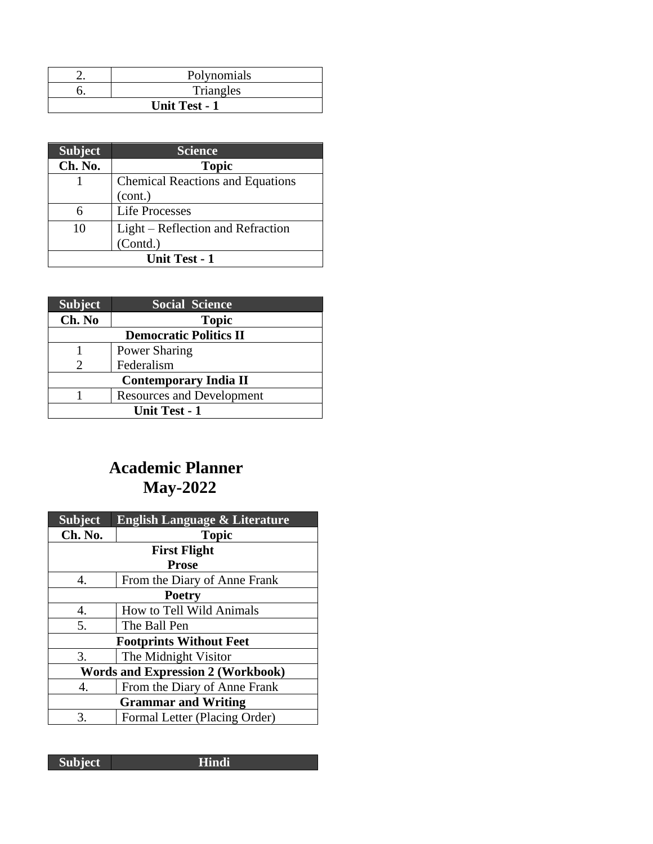|                      | Polynomials |
|----------------------|-------------|
|                      | Triangles   |
| <b>Unit Test - 1</b> |             |

| <b>Subject</b>       | <b>Science</b>                          |
|----------------------|-----------------------------------------|
| Ch. No.              | <b>Topic</b>                            |
|                      | <b>Chemical Reactions and Equations</b> |
|                      | (cont.)                                 |
|                      | <b>Life Processes</b>                   |
| 10                   | Light – Reflection and Refraction       |
|                      | (Contd.)                                |
| <b>Unit Test - 1</b> |                                         |

| <b>Subject</b>                | <b>Social Science</b>            |
|-------------------------------|----------------------------------|
| Ch. No                        | <b>Topic</b>                     |
| <b>Democratic Politics II</b> |                                  |
|                               | <b>Power Sharing</b>             |
| 2                             | Federalism                       |
| <b>Contemporary India II</b>  |                                  |
|                               | <b>Resources and Development</b> |
| <b>Unit Test - 1</b>          |                                  |

# **Academic Planner May-2022**

| <b>Subject</b>                           | <b>English Language &amp; Literature</b> |  |
|------------------------------------------|------------------------------------------|--|
| Ch. No.                                  | <b>Topic</b>                             |  |
| <b>First Flight</b>                      |                                          |  |
| <b>Prose</b>                             |                                          |  |
| 4.                                       | From the Diary of Anne Frank             |  |
| <b>Poetry</b>                            |                                          |  |
| 4.                                       | How to Tell Wild Animals                 |  |
| 5.                                       | The Ball Pen                             |  |
| <b>Footprints Without Feet</b>           |                                          |  |
| 3.                                       | The Midnight Visitor                     |  |
| <b>Words and Expression 2 (Workbook)</b> |                                          |  |
| 4.                                       | From the Diary of Anne Frank             |  |
| <b>Grammar and Writing</b>               |                                          |  |
| 3.                                       | Formal Letter (Placing Order)            |  |

**Subject Hindi**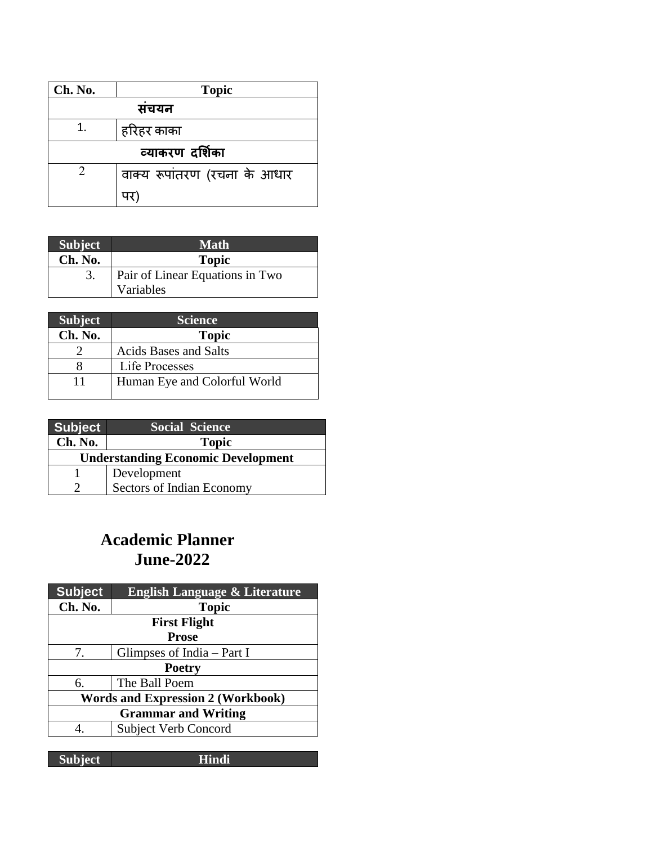| Ch. No. | <b>Topic</b>                 |  |  |
|---------|------------------------------|--|--|
| सचयन    |                              |  |  |
|         | हरिहर काका                   |  |  |
|         | व्याकरण दर्शिका              |  |  |
|         | वाक्य रूपांतरण (रचना के आधार |  |  |
|         |                              |  |  |

| <b>Subject</b> | <b>Math</b>                     |
|----------------|---------------------------------|
| Ch. No.        | <b>Topic</b>                    |
|                | Pair of Linear Equations in Two |
|                | Variables                       |

| <b>Subject</b> | <b>Science</b>               |
|----------------|------------------------------|
| Ch. No.        | <b>Topic</b>                 |
|                | <b>Acids Bases and Salts</b> |
|                | <b>Life Processes</b>        |
| 11             | Human Eye and Colorful World |

| <b>Subject</b>                            | <b>Social Science</b>     |
|-------------------------------------------|---------------------------|
| Ch. No.                                   | <b>Topic</b>              |
| <b>Understanding Economic Development</b> |                           |
|                                           | Development               |
|                                           | Sectors of Indian Economy |

## **Academic Planner June-2022**

| <b>Topic</b>                             |  |
|------------------------------------------|--|
| <b>First Flight</b>                      |  |
| <b>Prose</b>                             |  |
| Glimpses of India $-$ Part I             |  |
| <b>Poetry</b>                            |  |
| The Ball Poem                            |  |
| <b>Words and Expression 2 (Workbook)</b> |  |
| <b>Grammar and Writing</b>               |  |
| <b>Subject Verb Concord</b>              |  |
|                                          |  |

| <b>Subject</b> |  |
|----------------|--|
|----------------|--|

**Hindi**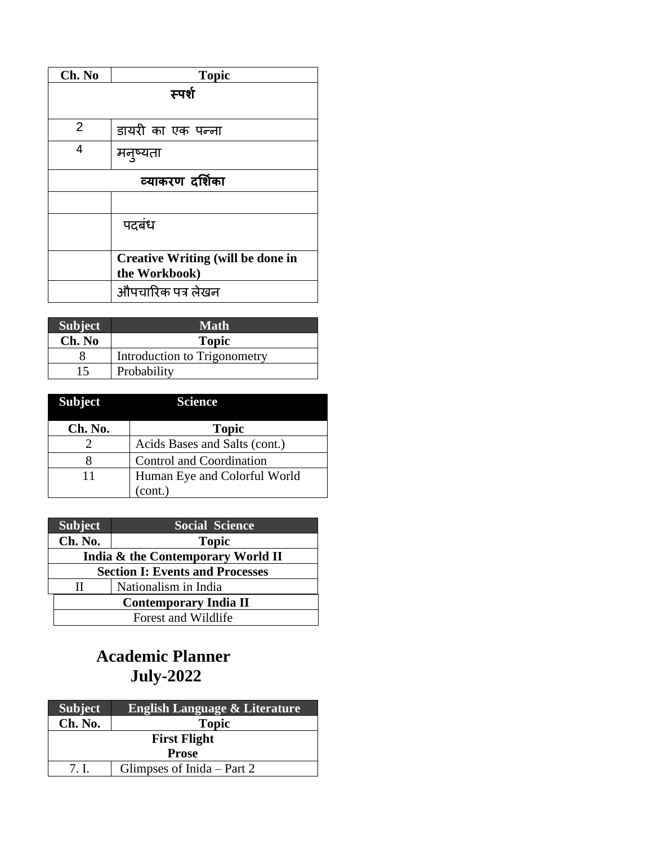| Ch. No          | <b>Topic</b>                             |
|-----------------|------------------------------------------|
| स्पर्श          |                                          |
|                 |                                          |
| 2               | डायरी का एक पन्ना                        |
| 4               | मनुष्यता                                 |
| व्याकरण दर्शिका |                                          |
|                 |                                          |
|                 | पदबंध                                    |
|                 |                                          |
|                 | <b>Creative Writing (will be done in</b> |
|                 | the Workbook)                            |
|                 | औपचारिक पत्र लेखन                        |

| <b>Subject</b> | <b>Math</b>                  |
|----------------|------------------------------|
| Ch. No         | <b>Topic</b>                 |
|                | Introduction to Trigonometry |
| 15             | Probability                  |

| <b>Subject</b> | Science                       |
|----------------|-------------------------------|
| Ch. No.        | <b>Topic</b>                  |
|                | Acids Bases and Salts (cont.) |
| x              | Control and Coordination      |
| 11             | Human Eye and Colorful World  |
|                | (cont.)                       |

| <b>Subject</b>                         | <b>Social Science</b>             |  |
|----------------------------------------|-----------------------------------|--|
| Ch. No.                                | <b>Topic</b>                      |  |
|                                        | India & the Contemporary World II |  |
| <b>Section I: Events and Processes</b> |                                   |  |
| Н                                      | Nationalism in India              |  |
| <b>Contemporary India II</b>           |                                   |  |
|                                        | Forest and Wildlife               |  |

# **Academic Planner July-2022**

| <b>Subject</b>      | <b>English Language &amp; Literature</b> |
|---------------------|------------------------------------------|
| Ch. No.             | <b>Topic</b>                             |
| <b>First Flight</b> |                                          |
| <b>Prose</b>        |                                          |
| 7 <sub>1</sub>      | Glimpses of Inida – Part 2               |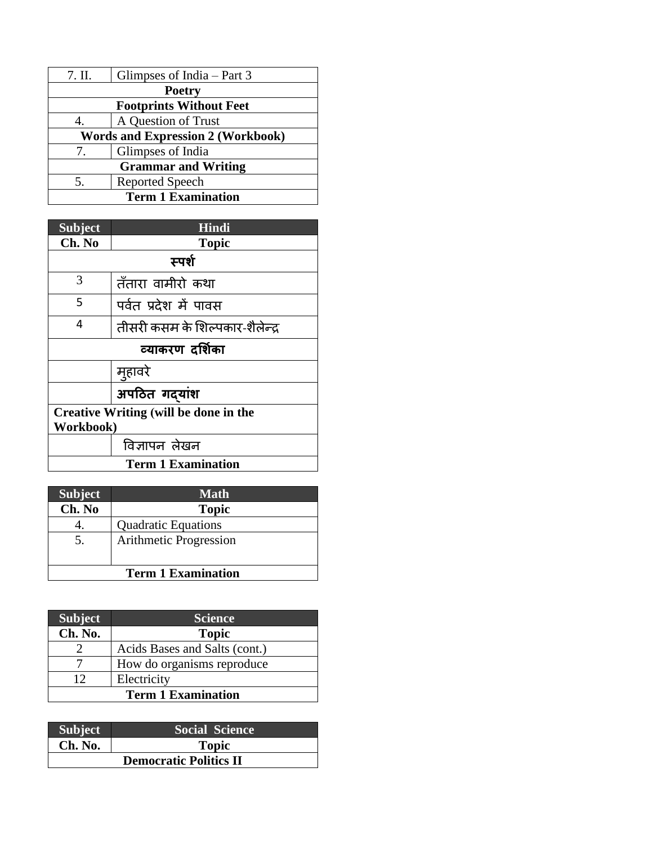| 7. II.                                   | Glimpses of India $-$ Part 3 |
|------------------------------------------|------------------------------|
| <b>Poetry</b>                            |                              |
| <b>Footprints Without Feet</b>           |                              |
|                                          | A Question of Trust          |
| <b>Words and Expression 2 (Workbook)</b> |                              |
| $\tau$ .                                 | Glimpses of India            |
| <b>Grammar and Writing</b>               |                              |
| 5.                                       | <b>Reported Speech</b>       |
| <b>Term 1 Examination</b>                |                              |

| <b>Subject</b>                        | Hindi                           |  |
|---------------------------------------|---------------------------------|--|
| Ch. No                                | <b>Topic</b>                    |  |
| स्पर्श                                |                                 |  |
| 3                                     | तँतारा वामीरो कथा               |  |
| 5                                     | पर्वत प्रदेश में पावस           |  |
| 4                                     | तीसरी कसम के शिल्पकार-शैलेन्द्र |  |
| व्याकरण दर्शिका                       |                                 |  |
|                                       | मुहावरे                         |  |
|                                       | अपठित गदयांश                    |  |
| Creative Writing (will be done in the |                                 |  |
| Workbook)                             |                                 |  |
|                                       | विज्ञापन लेखन                   |  |
| <b>Term 1 Examination</b>             |                                 |  |

| <b>Subject</b>            | <b>Math</b>                |
|---------------------------|----------------------------|
| Ch. No                    | <b>Topic</b>               |
|                           | <b>Quadratic Equations</b> |
| 5.                        | Arithmetic Progression     |
| <b>Term 1 Examination</b> |                            |

| <b>Subject</b>            | <b>Science</b>                |
|---------------------------|-------------------------------|
| Ch. No.                   | <b>Topic</b>                  |
|                           | Acids Bases and Salts (cont.) |
|                           | How do organisms reproduce    |
| 12                        | Electricity                   |
| <b>Term 1 Examination</b> |                               |

| <b>Subject</b>                | <b>Social Science</b> |
|-------------------------------|-----------------------|
| Ch. No.                       | <b>Topic</b>          |
| <b>Democratic Politics II</b> |                       |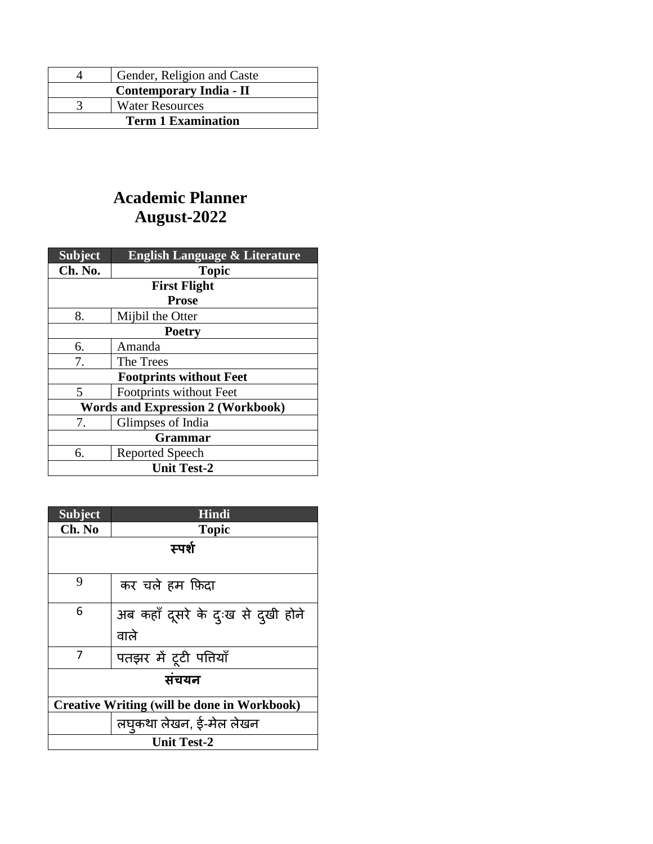|                           | Gender, Religion and Caste |
|---------------------------|----------------------------|
| Contemporary India - II   |                            |
|                           | <b>Water Resources</b>     |
| <b>Term 1 Examination</b> |                            |

# **Academic Planner August-2022**

| <b>Subject</b>                           | <b>English Language &amp; Literature</b> |  |
|------------------------------------------|------------------------------------------|--|
| Ch. No.                                  | <b>Topic</b>                             |  |
| <b>First Flight</b>                      |                                          |  |
| <b>Prose</b>                             |                                          |  |
| 8.                                       | Mijbil the Otter                         |  |
| <b>Poetry</b>                            |                                          |  |
| 6.                                       | Amanda                                   |  |
| 7.                                       | The Trees                                |  |
| <b>Footprints without Feet</b>           |                                          |  |
| 5                                        | Footprints without Feet                  |  |
| <b>Words and Expression 2 (Workbook)</b> |                                          |  |
| 7.                                       | Glimpses of India                        |  |
| <b>Grammar</b>                           |                                          |  |
| 6.                                       | <b>Reported Speech</b>                   |  |
| <b>Unit Test-2</b>                       |                                          |  |

| <b>Subject</b>                                     | <b>Hindi</b>                       |
|----------------------------------------------------|------------------------------------|
| Ch. No                                             | <b>Topic</b>                       |
| स्पर्श                                             |                                    |
|                                                    |                                    |
| 9                                                  | कर चले हम फ़िदा                    |
| 6                                                  | अब कहाँ दूसरे के दुःख से दुखी होने |
|                                                    | वाले                               |
| 7                                                  | पतझर में टूटी पतियाँ               |
| संचयन                                              |                                    |
| <b>Creative Writing (will be done in Workbook)</b> |                                    |
|                                                    | लघुकथा लेखन, ई-मेल लेखन            |
| <b>Unit Test-2</b>                                 |                                    |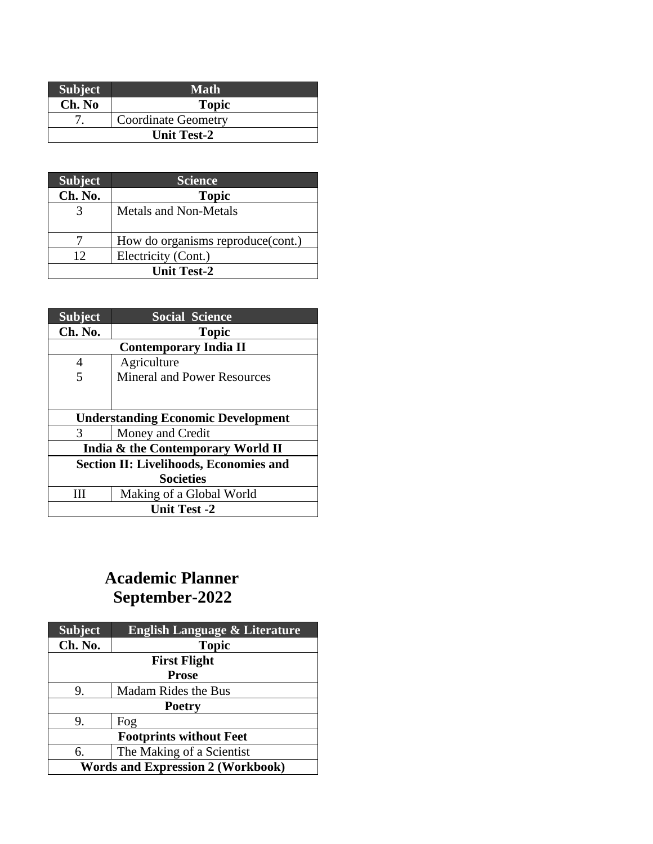| <b>Subject</b>     | Math                       |
|--------------------|----------------------------|
| Ch. No             | <b>Topic</b>               |
|                    | <b>Coordinate Geometry</b> |
| <b>Unit Test-2</b> |                            |

| <b>Subject</b>     | <b>Science</b>                    |
|--------------------|-----------------------------------|
| Ch. No.            | <b>Topic</b>                      |
| 3                  | <b>Metals and Non-Metals</b>      |
|                    | How do organisms reproduce(cont.) |
| 12                 | Electricity (Cont.)               |
| <b>Unit Test-2</b> |                                   |

| <b>Subject</b>                                | <b>Social Science</b>              |
|-----------------------------------------------|------------------------------------|
| Ch. No.                                       | <b>Topic</b>                       |
|                                               | <b>Contemporary India II</b>       |
| 4                                             | Agriculture                        |
|                                               | <b>Mineral and Power Resources</b> |
|                                               |                                    |
|                                               |                                    |
| <b>Understanding Economic Development</b>     |                                    |
| 3                                             | Money and Credit                   |
| India & the Contemporary World II             |                                    |
| <b>Section II: Livelihoods, Economies and</b> |                                    |
| <b>Societies</b>                              |                                    |
|                                               | Making of a Global World           |
| <b>Unit Test -2</b>                           |                                    |

# **Academic Planner September-2022**

| <b>Subject</b>                           | <b>English Language &amp; Literature</b> |  |
|------------------------------------------|------------------------------------------|--|
| Ch. No.                                  | <b>Topic</b>                             |  |
| <b>First Flight</b>                      |                                          |  |
| <b>Prose</b>                             |                                          |  |
| 9.                                       | <b>Madam Rides the Bus</b>               |  |
| <b>Poetry</b>                            |                                          |  |
| 9.                                       | Fog                                      |  |
| <b>Footprints without Feet</b>           |                                          |  |
| 6.                                       | The Making of a Scientist                |  |
| <b>Words and Expression 2 (Workbook)</b> |                                          |  |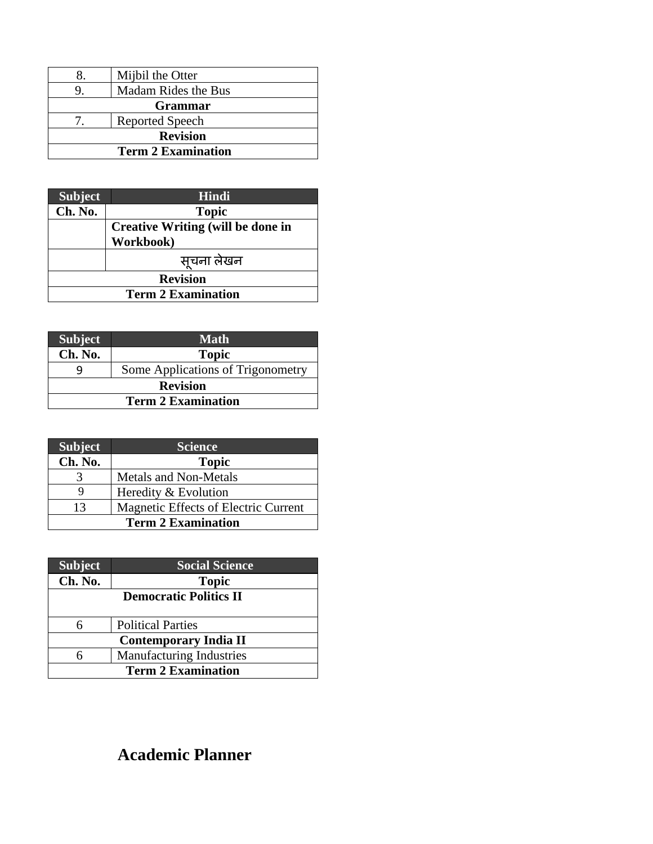|                           | Mijbil the Otter       |
|---------------------------|------------------------|
|                           | Madam Rides the Bus    |
| <b>Grammar</b>            |                        |
|                           | <b>Reported Speech</b> |
| <b>Revision</b>           |                        |
| <b>Term 2 Examination</b> |                        |

| <b>Subject</b>            | Hindi                                    |
|---------------------------|------------------------------------------|
| Ch. No.                   | <b>Topic</b>                             |
|                           | <b>Creative Writing (will be done in</b> |
|                           | Workbook)                                |
|                           | सूचना लेखन                               |
| <b>Revision</b>           |                                          |
| <b>Term 2 Examination</b> |                                          |

| <b>Subject</b>            | <b>Math</b>                       |
|---------------------------|-----------------------------------|
| Ch. No.                   | <b>Topic</b>                      |
|                           | Some Applications of Trigonometry |
| <b>Revision</b>           |                                   |
| <b>Term 2 Examination</b> |                                   |

| Subject                   | <b>Science</b>                       |
|---------------------------|--------------------------------------|
| Ch. No.                   | <b>Topic</b>                         |
|                           | <b>Metals and Non-Metals</b>         |
|                           | Heredity & Evolution                 |
| 13                        | Magnetic Effects of Electric Current |
| <b>Term 2 Examination</b> |                                      |

| <b>Subject</b>               | <b>Social Science</b>           |
|------------------------------|---------------------------------|
| Ch. No.                      | <b>Topic</b>                    |
|                              | <b>Democratic Politics II</b>   |
|                              |                                 |
| 6                            | <b>Political Parties</b>        |
| <b>Contemporary India II</b> |                                 |
| 6                            | <b>Manufacturing Industries</b> |
| <b>Term 2 Examination</b>    |                                 |

# **Academic Planner**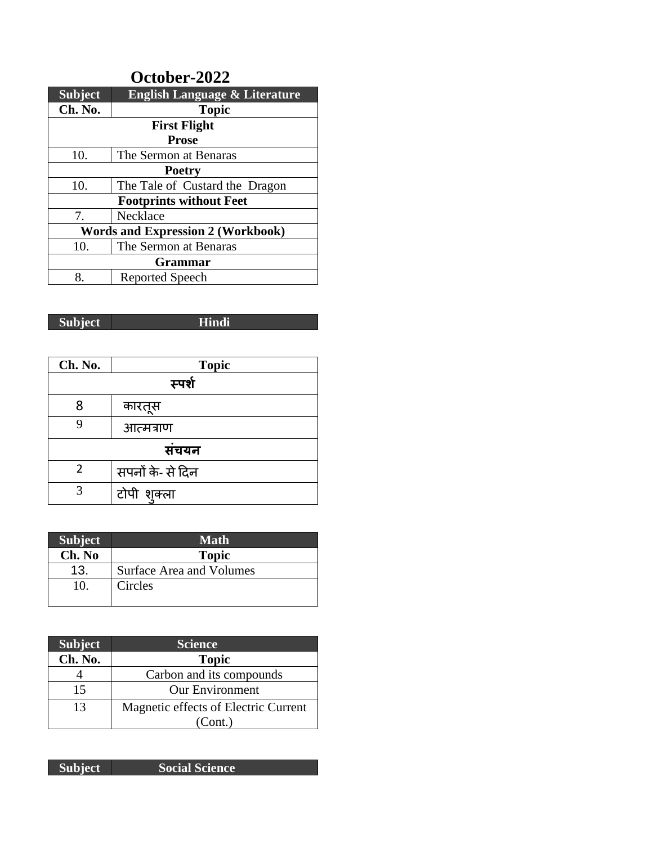| October-2022                             |                                          |  |
|------------------------------------------|------------------------------------------|--|
| <b>Subject</b>                           | <b>English Language &amp; Literature</b> |  |
| Ch. No.                                  | <b>Topic</b>                             |  |
| <b>First Flight</b>                      |                                          |  |
| <b>Prose</b>                             |                                          |  |
| 10.                                      | The Sermon at Benaras                    |  |
| <b>Poetry</b>                            |                                          |  |
| 10.                                      | The Tale of Custard the Dragon           |  |
| <b>Footprints without Feet</b>           |                                          |  |
| 7.                                       | Necklace                                 |  |
| <b>Words and Expression 2 (Workbook)</b> |                                          |  |
| 10.                                      | The Sermon at Benaras                    |  |
| <b>Grammar</b>                           |                                          |  |
| 8.                                       | <b>Reported Speech</b>                   |  |

**Subject Hindi**

| Ch. No. | <b>Topic</b>     |  |
|---------|------------------|--|
|         | स्पर्श           |  |
| 8       | कारतूस           |  |
| q       | आत्मत्राण        |  |
| संचयन   |                  |  |
| 2       | सपनों के- से दिन |  |
| 3       | टोपी शुक्ला      |  |

| <b>Subject</b> | <b>Math</b>              |
|----------------|--------------------------|
| Ch. No         | <b>Topic</b>             |
| 13.            | Surface Area and Volumes |
| 10.            | Circles                  |
|                |                          |

| <b>Subject</b> | <b>Science</b>                       |
|----------------|--------------------------------------|
| Ch. No.        | <b>Topic</b>                         |
|                | Carbon and its compounds             |
| 15             | <b>Our Environment</b>               |
| 13             | Magnetic effects of Electric Current |
|                | (Cont.)                              |

| Subject | <b>Social Science</b> |
|---------|-----------------------|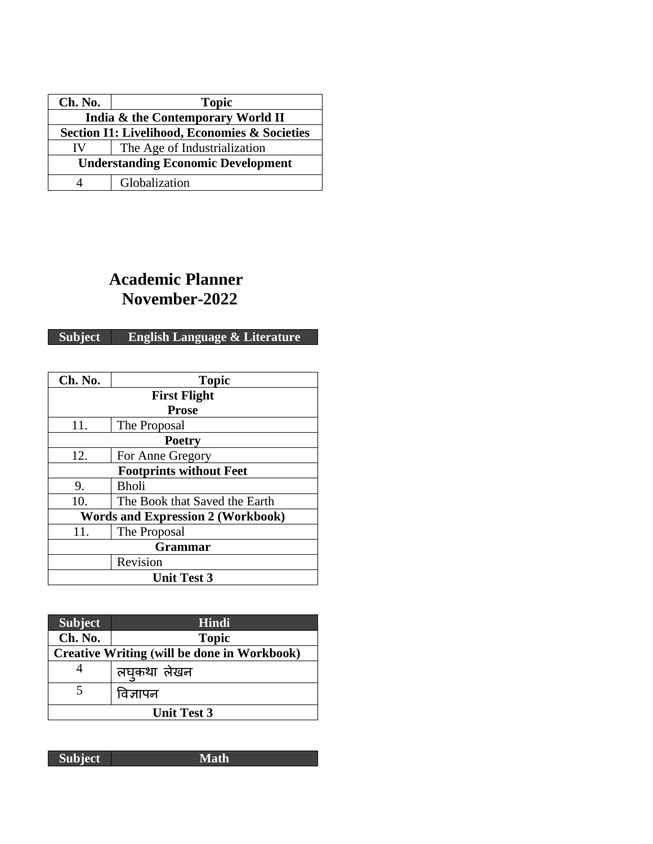| Ch. No.                                       | <b>Topic</b>                 |
|-----------------------------------------------|------------------------------|
| India & the Contemporary World II             |                              |
| Section I1: Livelihood, Economies & Societies |                              |
| IV                                            | The Age of Industrialization |
| <b>Understanding Economic Development</b>     |                              |
|                                               | Globalization                |

## **Academic Planner November-2022**

#### **Subject English Language & Literature**

| Ch. No.                                  | <b>Topic</b>                   |  |  |
|------------------------------------------|--------------------------------|--|--|
|                                          | <b>First Flight</b>            |  |  |
|                                          | <b>Prose</b>                   |  |  |
| 11.                                      | The Proposal                   |  |  |
| <b>Poetry</b>                            |                                |  |  |
| 12.                                      | For Anne Gregory               |  |  |
|                                          | <b>Footprints without Feet</b> |  |  |
| 9.                                       | <b>Bholi</b>                   |  |  |
| 10.                                      | The Book that Saved the Earth  |  |  |
| <b>Words and Expression 2 (Workbook)</b> |                                |  |  |
| 11.                                      | The Proposal                   |  |  |
| <b>Grammar</b>                           |                                |  |  |
| Revision                                 |                                |  |  |
| <b>Unit Test 3</b>                       |                                |  |  |

| <b>Subject</b>     | Hindi                                              |
|--------------------|----------------------------------------------------|
| Ch. No.            | <b>Topic</b>                                       |
|                    | <b>Creative Writing (will be done in Workbook)</b> |
| 4                  | लघुकथा लेखन                                        |
|                    | विज्ञापन                                           |
| <b>Unit Test 3</b> |                                                    |

**Subject Math**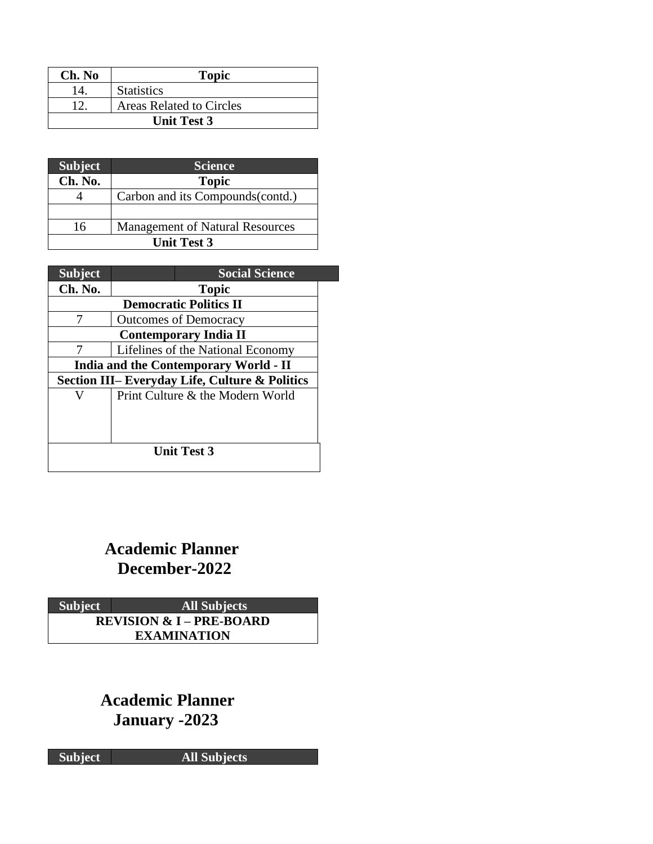| Ch. No             | <b>Topic</b>                    |  |
|--------------------|---------------------------------|--|
| 14                 | <b>Statistics</b>               |  |
| 12                 | <b>Areas Related to Circles</b> |  |
| <b>Unit Test 3</b> |                                 |  |

| <b>Subject</b>     | <b>Science</b>                         |  |
|--------------------|----------------------------------------|--|
| Ch. No.            | <b>Topic</b>                           |  |
|                    | Carbon and its Compounds (contd.)      |  |
|                    |                                        |  |
| 16                 | <b>Management of Natural Resources</b> |  |
| <b>Unit Test 3</b> |                                        |  |

| <b>Subject</b>                                            | <b>Social Science</b>             |  |
|-----------------------------------------------------------|-----------------------------------|--|
| Ch. No.                                                   | <b>Topic</b>                      |  |
| <b>Democratic Politics II</b>                             |                                   |  |
| 7                                                         | <b>Outcomes of Democracy</b>      |  |
| <b>Contemporary India II</b>                              |                                   |  |
| 7                                                         | Lifelines of the National Economy |  |
| <b>India and the Contemporary World - II</b>              |                                   |  |
| <b>Section III– Everyday Life, Culture &amp; Politics</b> |                                   |  |
|                                                           | Print Culture & the Modern World  |  |
|                                                           |                                   |  |
|                                                           |                                   |  |
|                                                           |                                   |  |
| <b>Unit Test 3</b>                                        |                                   |  |
|                                                           |                                   |  |

## **Academic Planner December-2022**

**Subject All Subjects REVISION & I – PRE-BOARD EXAMINATION**

> **Academic Planner January -2023**

**Subject All Subjects**